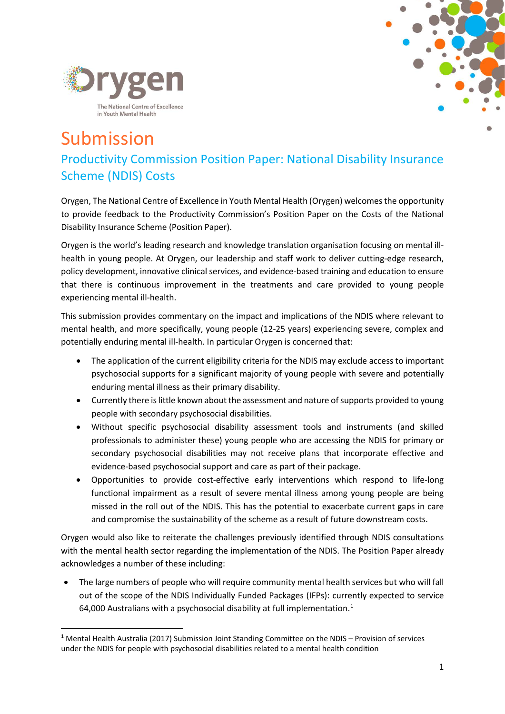



# Submission Productivity Commission Position Paper: National Disability Insurance Scheme (NDIS) Costs

Orygen, The National Centre of Excellence in Youth Mental Health (Orygen) welcomes the opportunity to provide feedback to the Productivity Commission's Position Paper on the Costs of the National Disability Insurance Scheme (Position Paper).

Orygen is the world's leading research and knowledge translation organisation focusing on mental illhealth in young people. At Orygen, our leadership and staff work to deliver cutting-edge research, policy development, innovative clinical services, and evidence-based training and education to ensure that there is continuous improvement in the treatments and care provided to young people experiencing mental ill-health.

This submission provides commentary on the impact and implications of the NDIS where relevant to mental health, and more specifically, young people (12-25 years) experiencing severe, complex and potentially enduring mental ill-health. In particular Orygen is concerned that:

- The application of the current eligibility criteria for the NDIS may exclude access to important psychosocial supports for a significant majority of young people with severe and potentially enduring mental illness as their primary disability.
- Currently there is little known about the assessment and nature of supports provided to young people with secondary psychosocial disabilities.
- Without specific psychosocial disability assessment tools and instruments (and skilled professionals to administer these) young people who are accessing the NDIS for primary or secondary psychosocial disabilities may not receive plans that incorporate effective and evidence-based psychosocial support and care as part of their package.
- Opportunities to provide cost-effective early interventions which respond to life-long functional impairment as a result of severe mental illness among young people are being missed in the roll out of the NDIS. This has the potential to exacerbate current gaps in care and compromise the sustainability of the scheme as a result of future downstream costs.

Orygen would also like to reiterate the challenges previously identified through NDIS consultations with the mental health sector regarding the implementation of the NDIS. The Position Paper already acknowledges a number of these including:

• The large numbers of people who will require community mental health services but who will fall out of the scope of the NDIS Individually Funded Packages (IFPs): currently expected to service 64,000 Australians with a psychosocial disability at full implementation.<sup>[1](#page-0-0)</sup>

<span id="page-0-0"></span> <sup>1</sup> Mental Health Australia (2017) Submission Joint Standing Committee on the NDIS – Provision of services under the NDIS for people with psychosocial disabilities related to a mental health condition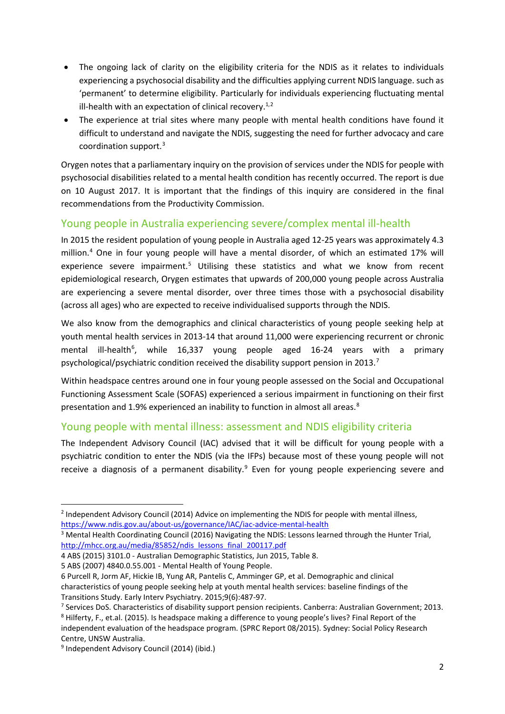- The ongoing lack of clarity on the eligibility criteria for the NDIS as it relates to individuals experiencing a psychosocial disability and the difficulties applying current NDIS language. such as 'permanent' to determine eligibility. Particularly for individuals experiencing fluctuating mental ill-health with an expectation of clinical recovery.<sup>1,[2](#page-1-0)</sup>
- The experience at trial sites where many people with mental health conditions have found it difficult to understand and navigate the NDIS, suggesting the need for further advocacy and care coordination support. [3](#page-1-1)

Orygen notes that a parliamentary inquiry on the provision of services under the NDIS for people with psychosocial disabilities related to a mental health condition has recently occurred. The report is due on 10 August 2017. It is important that the findings of this inquiry are considered in the final recommendations from the Productivity Commission.

## Young people in Australia experiencing severe/complex mental ill-health

In 2015 the resident population of young people in Australia aged 12-25 years was approximately 4.3 million. [4](#page-1-2) One in four young people will have a mental disorder, of which an estimated 17% will experience severe impairment.<sup>[5](#page-1-3)</sup> Utilising these statistics and what we know from recent epidemiological research, Orygen estimates that upwards of 200,000 young people across Australia are experiencing a severe mental disorder, over three times those with a psychosocial disability (across all ages) who are expected to receive individualised supports through the NDIS.

We also know from the demographics and clinical characteristics of young people seeking help at youth mental health services in 2013-14 that around 11,000 were experiencing recurrent or chronic mental ill-health<sup>[6](#page-1-4)</sup>, while 16,337 young people aged 16-24 years with a primary psychological/psychiatric condition received the disability support pension in 2013.<sup>[7](#page-1-5)</sup>

Within headspace centres around one in four young people assessed on the Social and Occupational Functioning Assessment Scale (SOFAS) experienced a serious impairment in functioning on their first presentation and 1.9% experienced an inability to function in almost all areas.<sup>[8](#page-1-6)</sup>

## Young people with mental illness: assessment and NDIS eligibility criteria

The Independent Advisory Council (IAC) advised that it will be difficult for young people with a psychiatric condition to enter the NDIS (via the IFPs) because most of these young people will not receive a diagnosis of a permanent disability.<sup>[9](#page-1-7)</sup> Even for young people experiencing severe and

<span id="page-1-0"></span><sup>&</sup>lt;sup>2</sup> Independent Advisory Council (2014) Advice on implementing the NDIS for people with mental illness, <https://www.ndis.gov.au/about-us/governance/IAC/iac-advice-mental-health>

<span id="page-1-1"></span><sup>&</sup>lt;sup>3</sup> Mental Health Coordinating Council (2016) Navigating the NDIS: Lessons learned through the Hunter Trial, [http://mhcc.org.au/media/85852/ndis\\_lessons\\_final\\_200117.pdf](http://mhcc.org.au/media/85852/ndis_lessons_final_200117.pdf)

<span id="page-1-2"></span><sup>4</sup> ABS (2015) 3101.0 - Australian Demographic Statistics, Jun 2015, Table 8.

<span id="page-1-3"></span><sup>5</sup> ABS (2007) 4840.0.55.001 - Mental Health of Young People.

<span id="page-1-4"></span><sup>6</sup> Purcell R, Jorm AF, Hickie IB, Yung AR, Pantelis C, Amminger GP, et al. Demographic and clinical characteristics of young people seeking help at youth mental health services: baseline findings of the Transitions Study. Early Interv Psychiatry. 2015;9(6):487-97.

<span id="page-1-5"></span><sup>7</sup> Services DoS. Characteristics of disability support pension recipients. Canberra: Australian Government; 2013.

<span id="page-1-6"></span><sup>8</sup> Hilferty, F., et.al. (2015). Is headspace making a difference to young people's lives? Final Report of the independent evaluation of the headspace program. (SPRC Report 08/2015). Sydney: Social Policy Research Centre, UNSW Australia.

<span id="page-1-7"></span><sup>&</sup>lt;sup>9</sup> Independent Advisory Council (2014) (ibid.)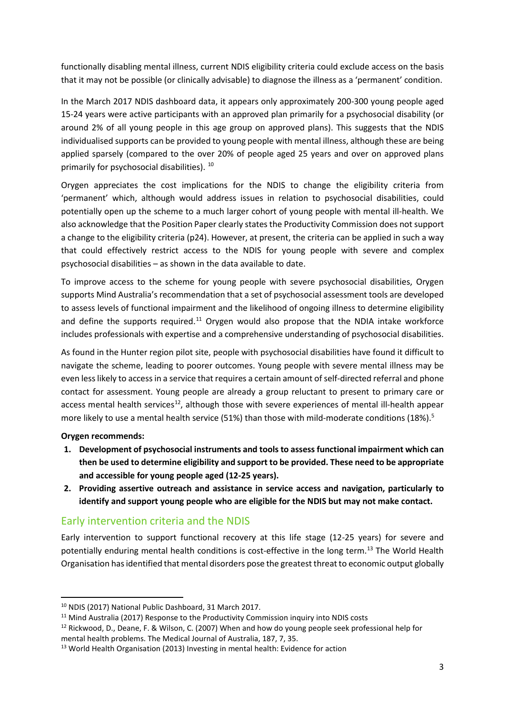functionally disabling mental illness, current NDIS eligibility criteria could exclude access on the basis that it may not be possible (or clinically advisable) to diagnose the illness as a 'permanent' condition.

In the March 2017 NDIS dashboard data, it appears only approximately 200-300 young people aged 15-24 years were active participants with an approved plan primarily for a psychosocial disability (or around 2% of all young people in this age group on approved plans). This suggests that the NDIS individualised supports can be provided to young people with mental illness, although these are being applied sparsely (compared to the over 20% of people aged 25 years and over on approved plans primarily for psychosocial disabilities). [10](#page-2-0)

Orygen appreciates the cost implications for the NDIS to change the eligibility criteria from 'permanent' which, although would address issues in relation to psychosocial disabilities, could potentially open up the scheme to a much larger cohort of young people with mental ill-health. We also acknowledge that the Position Paper clearly states the Productivity Commission does not support a change to the eligibility criteria (p24). However, at present, the criteria can be applied in such a way that could effectively restrict access to the NDIS for young people with severe and complex psychosocial disabilities – as shown in the data available to date.

To improve access to the scheme for young people with severe psychosocial disabilities, Orygen supports Mind Australia's recommendation that a set of psychosocial assessment tools are developed to assess levels of functional impairment and the likelihood of ongoing illness to determine eligibility and define the supports required.<sup>[11](#page-2-1)</sup> Orygen would also propose that the NDIA intake workforce includes professionals with expertise and a comprehensive understanding of psychosocial disabilities.

As found in the Hunter region pilot site, people with psychosocial disabilities have found it difficult to navigate the scheme, leading to poorer outcomes. Young people with severe mental illness may be even less likely to access in a service that requires a certain amount of self-directed referral and phone contact for assessment. Young people are already a group reluctant to present to primary care or access mental health services<sup>[12](#page-2-2)</sup>, although those with severe experiences of mental ill-health appear more likely to use a mental health service (51%) than those with mild-moderate conditions (18%).<sup>5</sup>

#### **Orygen recommends:**

- **1. Development of psychosocial instruments and tools to assess functional impairment which can then be used to determine eligibility and support to be provided. These need to be appropriate and accessible for young people aged (12-25 years).**
- **2. Providing assertive outreach and assistance in service access and navigation, particularly to identify and support young people who are eligible for the NDIS but may not make contact.**

## Early intervention criteria and the NDIS

Early intervention to support functional recovery at this life stage (12-25 years) for severe and potentially enduring mental health conditions is cost-effective in the long term.<sup>[13](#page-2-3)</sup> The World Health Organisation has identified that mental disorders pose the greatest threat to economic output globally

<span id="page-2-0"></span> <sup>10</sup> NDIS (2017) National Public Dashboard, 31 March 2017.

<span id="page-2-1"></span><sup>&</sup>lt;sup>11</sup> Mind Australia (2017) Response to the Productivity Commission inquiry into NDIS costs

<span id="page-2-2"></span><sup>12</sup> Rickwood, D., Deane, F. & Wilson, C. (2007) When and how do young people seek professional help for mental health problems. The Medical Journal of Australia, 187, 7, 35.

<span id="page-2-3"></span><sup>13</sup> World Health Organisation (2013) Investing in mental health: Evidence for action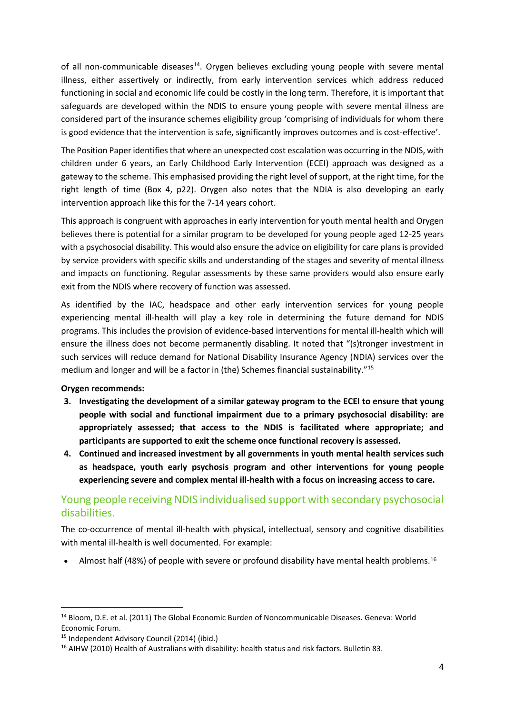of all non-communicable diseases<sup>14</sup>. Orygen believes excluding young people with severe mental illness, either assertively or indirectly, from early intervention services which address reduced functioning in social and economic life could be costly in the long term. Therefore, it is important that safeguards are developed within the NDIS to ensure young people with severe mental illness are considered part of the insurance schemes eligibility group 'comprising of individuals for whom there is good evidence that the intervention is safe, significantly improves outcomes and is cost-effective'.

The Position Paper identifies that where an unexpected cost escalation was occurring in the NDIS, with children under 6 years, an Early Childhood Early Intervention (ECEI) approach was designed as a gateway to the scheme. This emphasised providing the right level of support, at the right time, for the right length of time (Box 4, p22). Orygen also notes that the NDIA is also developing an early intervention approach like this for the 7-14 years cohort.

This approach is congruent with approaches in early intervention for youth mental health and Orygen believes there is potential for a similar program to be developed for young people aged 12-25 years with a psychosocial disability. This would also ensure the advice on eligibility for care plans is provided by service providers with specific skills and understanding of the stages and severity of mental illness and impacts on functioning. Regular assessments by these same providers would also ensure early exit from the NDIS where recovery of function was assessed.

As identified by the IAC, headspace and other early intervention services for young people experiencing mental ill-health will play a key role in determining the future demand for NDIS programs. This includes the provision of evidence-based interventions for mental ill-health which will ensure the illness does not become permanently disabling. It noted that "(s)tronger investment in such services will reduce demand for National Disability Insurance Agency (NDIA) services over the medium and longer and will be a factor in (the) Schemes financial sustainability."[15](#page-3-1)

#### **Orygen recommends:**

- **3. Investigating the development of a similar gateway program to the ECEI to ensure that young people with social and functional impairment due to a primary psychosocial disability: are appropriately assessed; that access to the NDIS is facilitated where appropriate; and participants are supported to exit the scheme once functional recovery is assessed.**
- **4. Continued and increased investment by all governments in youth mental health services such as headspace, youth early psychosis program and other interventions for young people experiencing severe and complex mental ill-health with a focus on increasing access to care.**

## Young people receiving NDIS individualised support with secondary psychosocial disabilities.

The co-occurrence of mental ill-health with physical, intellectual, sensory and cognitive disabilities with mental ill-health is well documented. For example:

• Almost half (48%) of people with severe or profound disability have mental health problems.[16](#page-3-2)

<span id="page-3-0"></span> <sup>14</sup> Bloom, D.E. et al. (2011) The Global Economic Burden of Noncommunicable Diseases. Geneva: World Economic Forum.

<span id="page-3-1"></span><sup>15</sup> Independent Advisory Council (2014) (ibid.)

<span id="page-3-2"></span><sup>&</sup>lt;sup>16</sup> AIHW (2010) Health of Australians with disability: health status and risk factors. Bulletin 83.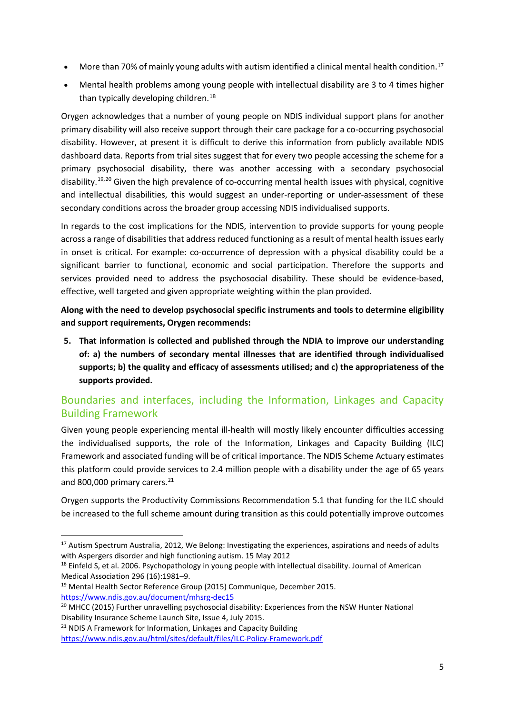- More than 70% of mainly young adults with autism identified a clinical mental health condition.<sup>[17](#page-4-0)</sup>
- Mental health problems among young people with intellectual disability are 3 to 4 times higher than typically developing children.<sup>[18](#page-4-1)</sup>

Orygen acknowledges that a number of young people on NDIS individual support plans for another primary disability will also receive support through their care package for a co-occurring psychosocial disability. However, at present it is difficult to derive this information from publicly available NDIS dashboard data. Reports from trial sites suggest that for every two people accessing the scheme for a primary psychosocial disability, there was another accessing with a secondary psychosocial disability.<sup>[19](#page-4-2),[20](#page-4-3)</sup> Given the high prevalence of co-occurring mental health issues with physical, cognitive and intellectual disabilities, this would suggest an under-reporting or under-assessment of these secondary conditions across the broader group accessing NDIS individualised supports.

In regards to the cost implications for the NDIS, intervention to provide supports for young people across a range of disabilities that address reduced functioning as a result of mental health issues early in onset is critical. For example: co-occurrence of depression with a physical disability could be a significant barrier to functional, economic and social participation. Therefore the supports and services provided need to address the psychosocial disability. These should be evidence-based, effective, well targeted and given appropriate weighting within the plan provided.

**Along with the need to develop psychosocial specific instruments and tools to determine eligibility and support requirements, Orygen recommends:**

**5. That information is collected and published through the NDIA to improve our understanding of: a) the numbers of secondary mental illnesses that are identified through individualised supports; b) the quality and efficacy of assessments utilised; and c) the appropriateness of the supports provided.**

## Boundaries and interfaces, including the Information, Linkages and Capacity Building Framework

Given young people experiencing mental ill-health will mostly likely encounter difficulties accessing the individualised supports, the role of the Information, Linkages and Capacity Building (ILC) Framework and associated funding will be of critical importance. The NDIS Scheme Actuary estimates this platform could provide services to 2.4 million people with a disability under the age of 65 years and 800,000 primary carers.<sup>[21](#page-4-4)</sup>

Orygen supports the Productivity Commissions Recommendation 5.1 that funding for the ILC should be increased to the full scheme amount during transition as this could potentially improve outcomes

<span id="page-4-0"></span><sup>&</sup>lt;sup>17</sup> Autism Spectrum Australia, 2012, We Belong: Investigating the experiences, aspirations and needs of adults with Aspergers disorder and high functioning autism. 15 May 2012

<span id="page-4-1"></span><sup>&</sup>lt;sup>18</sup> Einfeld S, et al. 2006. Psychopathology in young people with intellectual disability. Journal of American Medical Association 296 (16):1981–9.

<span id="page-4-2"></span><sup>&</sup>lt;sup>19</sup> Mental Health Sector Reference Group (2015) Communique, December 2015. <https://www.ndis.gov.au/document/mhsrg-dec15>

<span id="page-4-3"></span><sup>&</sup>lt;sup>20</sup> MHCC (2015) Further unravelling psychosocial disability: Experiences from the NSW Hunter National Disability Insurance Scheme Launch Site, Issue 4, July 2015.

<span id="page-4-4"></span> $21$  NDIS A Framework for Information, Linkages and Capacity Building <https://www.ndis.gov.au/html/sites/default/files/ILC-Policy-Framework.pdf>